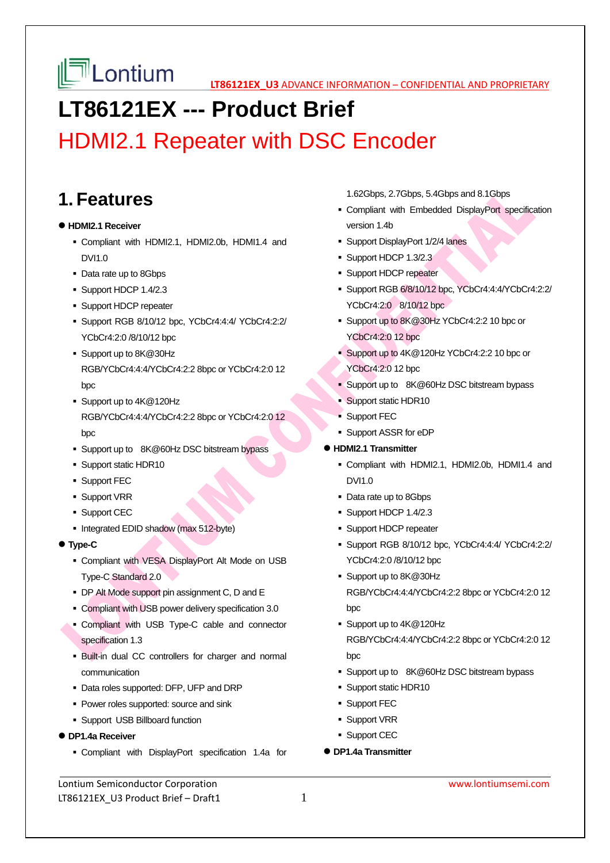

# **LT86121EX --- Product Brief**

# HDMI2.1 Repeater with DSC Encoder

### **1. Features**

#### **HDMI2.1 Receiver**

- Compliant with HDMI2.1, HDMI2.0b, HDMI1.4 and DVI1.0
- Data rate up to 8Gbps
- Support HDCP 1.4/2.3
- **Support HDCP repeater**
- Support RGB 8/10/12 bpc, YCbCr4:4:4/ YCbCr4:2:2/ YCbCr4:2:0 /8/10/12 bpc
- Support up to 8K@30Hz RGB/YCbCr4:4:4/YCbCr4:2:2 8bpc or YCbCr4:2:0 12 bpc
- Support up to 4K@120Hz RGB/YCbCr4:4:4/YCbCr4:2:2 8bpc or YCbCr4:2:0 12 bpc
- Support up to 8K@60Hz DSC bitstream bypass
- **Support static HDR10**
- **Support FEC**
- **Support VRR**
- **Support CEC**
- Integrated EDID shadow (max 512-byte)
- **Type-C**
	- Compliant with VESA DisplayPort Alt Mode on USB Type-C Standard 2.0
	- DP Alt Mode support pin assignment C, D and E
	- Compliant with USB power delivery specification 3.0
	- Compliant with USB Type-C cable and connector specification 1.3
	- Built-in dual CC controllers for charger and normal communication
	- Data roles supported: DFP, UFP and DRP
	- **Power roles supported: source and sink**
	- Support USB Billboard function
- **DP1.4a Receiver**
	- Compliant with DisplayPort specification 1.4a for

1.62Gbps, 2.7Gbps, 5.4Gbps and 8.1Gbps

- Compliant with Embedded DisplayPort specification version 1.4b
- **Support DisplayPort 1/2/4 lanes**
- Support HDCP 1.3/2.3
- **Support HDCP repeater**
- Support RGB 6/8/10/12 bpc, YCbCr4:4:4/YCbCr4:2:2/ YCbCr4:2:0 8/10/12 bpc
- Support up to 8K@30Hz YCbCr4:2:2 10 bpc or YCbCr4:2:0 12 bpc
- Support up to 4K@120Hz YCbCr4:2:2 10 bpc or YCbCr4:2:0 12 bpc
- **Support up to 8K@60Hz DSC bitstream bypass**
- Support static HDR10
- Support FEC
- Support ASSR for eDP
- **HDMI2.1 Transmitter** 
	- Compliant with HDMI2.1, HDMI2.0b, HDMI1.4 and DVI1.0
	- Data rate up to 8Gbps
	- Support HDCP 1.4/2.3
	- **Support HDCP repeater**
	- Support RGB 8/10/12 bpc, YCbCr4:4:4/ YCbCr4:2:2/ YCbCr4:2:0 /8/10/12 bpc
	- Support up to 8K@30Hz RGB/YCbCr4:4:4/YCbCr4:2:2 8bpc or YCbCr4:2:0 12 bpc
	- Support up to 4K@120Hz RGB/YCbCr4:4:4/YCbCr4:2:2 8bpc or YCbCr4:2:0 12 bpc
	- Support up to 8K@60Hz DSC bitstream bypass
	- **Support static HDR10**
	- **Support FEC**
	- **Support VRR**
	- **Support CEC**
- **DP1.4a Transmitter**

Lontium Semiconductor Corporation www.lontiumsemi.com LT86121EX U3 Product Brief – Draft1  $1$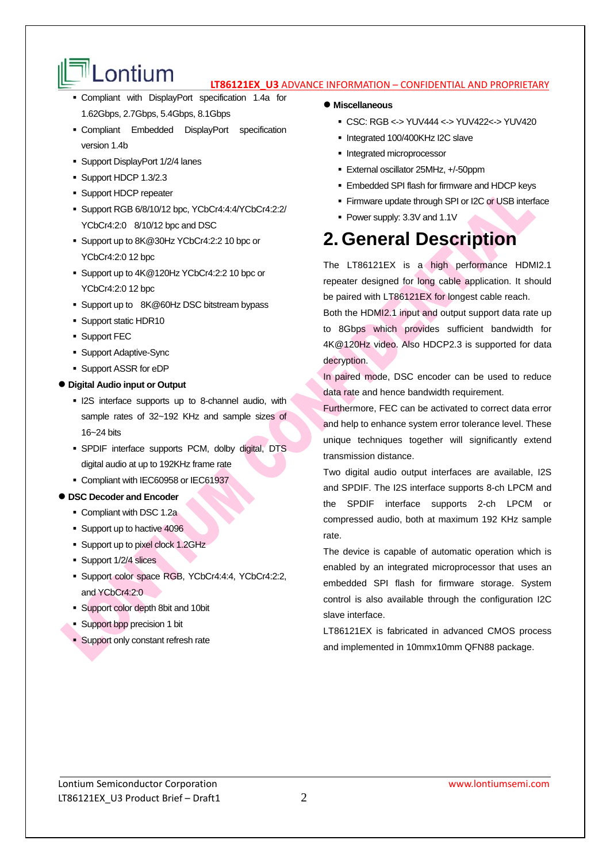# $\mathbb{R}$  **Lontium**  $\mathbf{u}$   $\mathbf{u}$   $\mathbf{u}$   $\mathbf{u}$  advance information – confidential and proprietary

- Compliant with DisplayPort specification 1.4a for 1.62Gbps, 2.7Gbps, 5.4Gbps, 8.1Gbps
- Compliant Embedded DisplayPort specification version 1.4b
- Support DisplayPort 1/2/4 lanes
- Support HDCP 1.3/2.3
- **Support HDCP repeater**
- Support RGB 6/8/10/12 bpc, YCbCr4:4:4/YCbCr4:2:2/ YCbCr4:2:0 8/10/12 bpc and DSC
- Support up to 8K@30Hz YCbCr4:2:2 10 bpc or YCbCr4:2:0 12 bpc
- Support up to 4K@120Hz YCbCr4:2:2 10 bpc or YCbCr4:2:0 12 bpc
- Support up to 8K@60Hz DSC bitstream bypass
- Support static HDR10
- **Support FEC**
- Support Adaptive-Sync
- Support ASSR for eDP
- **Digital Audio input or Output** 
	- **I2S** interface supports up to 8-channel audio, with sample rates of 32~192 KHz and sample sizes of 16~24 bits
	- SPDIF interface supports PCM, dolby digital, DTS digital audio at up to 192KHz frame rate
	- Compliant with IEC60958 or IEC61937

#### **DSC Decoder and Encoder**

- Compliant with DSC 1.2a
- Support up to hactive 4096
- **Support up to pixel clock 1.2GHz**
- **Support 1/2/4 slices**
- Support color space RGB, YCbCr4:4:4, YCbCr4:2:2, and YCbCr4:2:0
- Support color depth 8bit and 10bit
- Support bpp precision 1 bit
- **Support only constant refresh rate**
- **Miscellaneous** 
	- CSC: RGB <-> YUV444 <-> YUV422<-> YUV420
	- Integrated 100/400KHz I2C slave
	- **Integrated microprocessor**
	- External oscillator 25MHz, +/-50ppm
	- Embedded SPI flash for firmware and HDCP keys
	- **Firmware update through SPI or I2C or USB interface**
	- Power supply: 3.3V and 1.1V

## **2. General Description**

The LT86121EX is a high performance HDMI2.1 repeater designed for long cable application. It should be paired with LT86121EX for longest cable reach.

Both the HDMI2.1 input and output support data rate up to 8Gbps which provides sufficient bandwidth for 4K@120Hz video. Also HDCP2.3 is supported for data decryption.

In paired mode, DSC encoder can be used to reduce data rate and hence bandwidth requirement.

Furthermore, FEC can be activated to correct data error and help to enhance system error tolerance level. These unique techniques together will significantly extend transmission distance.

Two digital audio output interfaces are available, I2S and SPDIF. The I2S interface supports 8-ch LPCM and the SPDIF interface supports 2-ch LPCM or compressed audio, both at maximum 192 KHz sample rate.

The device is capable of automatic operation which is enabled by an integrated microprocessor that uses an embedded SPI flash for firmware storage. System control is also available through the configuration I2C slave interface.

LT86121EX is fabricated in advanced CMOS process and implemented in 10mmx10mm QFN88 package.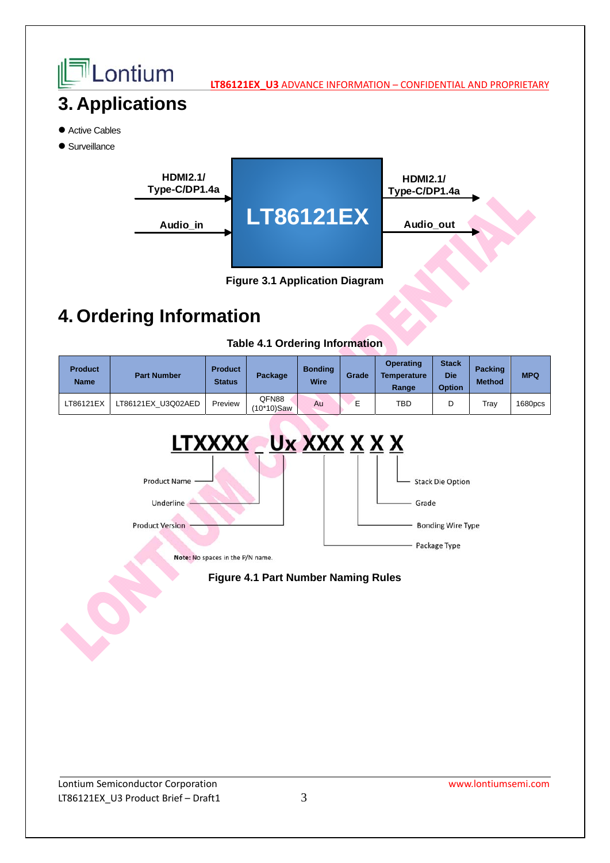

## **4. Ordering Information**

**Table 4.1 Ordering Information**

| <b>Product</b><br><b>Name</b> | <b>Part Number</b> | <b>Product</b><br><b>Status</b> | Package             | <b>Bonding</b><br><b>Wire</b> | Grade | <b>Operating</b><br><b>Temperature</b><br>Range | <b>Stack</b><br>Die<br><b>Option</b> | <b>Packing</b><br><b>Method</b> | <b>MPQ</b> |
|-------------------------------|--------------------|---------------------------------|---------------------|-------------------------------|-------|-------------------------------------------------|--------------------------------------|---------------------------------|------------|
| LT86121EX                     | LT86121EX U3Q02AED | Preview                         | QFN88<br>(10*10)Saw | Au                            | −     | TBD                                             | D                                    | Tray                            | 1680pcs    |